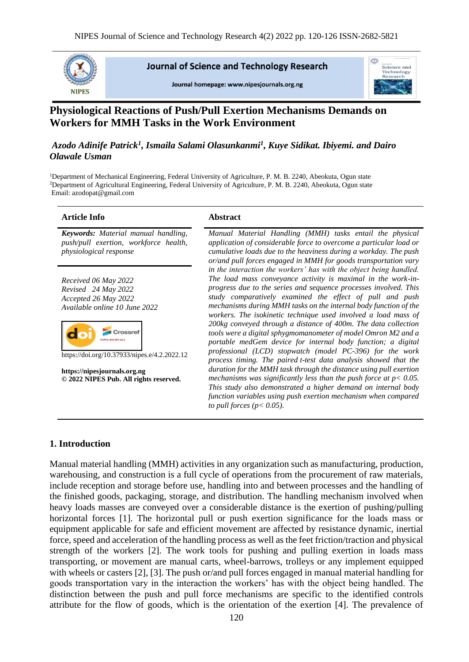

**Journal of Science and Technology Research** 

Journal homepage: www.nipesjournals.org.ng



# **Physiological Reactions of Push/Pull Exertion Mechanisms Demands on Workers for MMH Tasks in the Work Environment**

# *Azodo Adinife Patrick<sup>1</sup> , Ismaila Salami Olasunkanmi<sup>1</sup> , Kuye Sidikat. Ibiyemi. and Dairo Olawale Usman*

<sup>1</sup>Department of Mechanical Engineering, Federal University of Agriculture, P. M. B. 2240, Abeokuta, Ogun state <sup>2</sup>Department of Agricultural Engineering, Federal University of Agriculture, P. M. B. 2240, Abeokuta, Ogun state Email: azodopat@gmail.com

#### **Article Info Abstract**

*Keywords: Material manual handling, push/pull exertion, workforce health, physiological response* 

*Received 06 May 2022 Revised 24 May 2022 Accepted 26 May 2022 Available online 10 June 2022*



https://doi.org/10.37933/nipes.e/4.2.2022.12

**https://nipesjournals.org.ng © 2022 NIPES Pub. All rights reserved.**

*Manual Material Handling (MMH) tasks entail the physical application of considerable force to overcome a particular load or cumulative loads due to the heaviness during a workday. The push or/and pull forces engaged in MMH for goods transportation vary in the interaction the workers' has with the object being handled. The load mass conveyance activity is maximal in the work-inprogress due to the series and sequence processes involved. This study comparatively examined the effect of pull and push mechanisms during MMH tasks on the internal body function of the workers. The isokinetic technique used involved a load mass of 200kg conveyed through a distance of 400m. The data collection tools were a digital sphygmomanometer of model Omron M2 and a portable medGem device for internal body function; a digital professional (LCD) stopwatch (model PC-396) for the work process timing. The paired t-test data analysis showed that the duration for the MMH task through the distance using pull exertion mechanisms was significantly less than the push force at p< 0.05. This study also demonstrated a higher demand on internal body function variables using push exertion mechanism when compared to pull forces (p< 0.05).*

### **1. Introduction**

Manual material handling (MMH) activities in any organization such as manufacturing, production, warehousing, and construction is a full cycle of operations from the procurement of raw materials, include reception and storage before use, handling into and between processes and the handling of the finished goods, packaging, storage, and distribution. The handling mechanism involved when heavy loads masses are conveyed over a considerable distance is the exertion of pushing/pulling horizontal forces [1]. The horizontal pull or push exertion significance for the loads mass or equipment applicable for safe and efficient movement are affected by resistance dynamic, inertial force, speed and acceleration of the handling process as well as the feet friction/traction and physical strength of the workers [2]. The work tools for pushing and pulling exertion in loads mass transporting, or movement are manual carts, wheel-barrows, trolleys or any implement equipped with wheels or casters [2], [3]. The push or/and pull forces engaged in manual material handling for goods transportation vary in the interaction the workers' has with the object being handled. The distinction between the push and pull force mechanisms are specific to the identified controls attribute for the flow of goods, which is the orientation of the exertion [4]. The prevalence of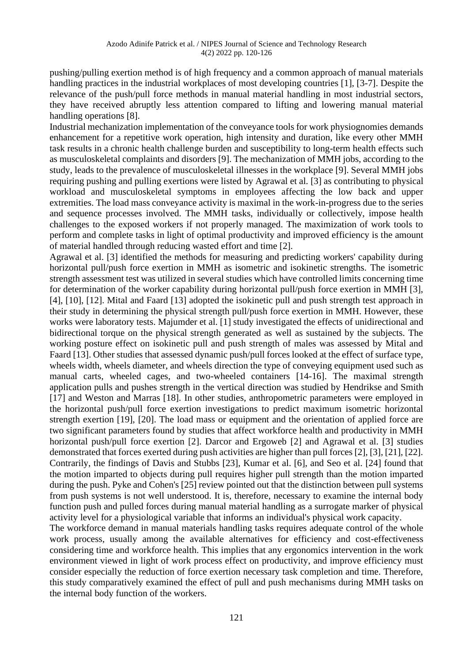pushing/pulling exertion method is of high frequency and a common approach of manual materials handling practices in the industrial workplaces of most developing countries [1], [3-7]. Despite the relevance of the push/pull force methods in manual material handling in most industrial sectors, they have received abruptly less attention compared to lifting and lowering manual material handling operations [8].

Industrial mechanization implementation of the conveyance tools for work physiognomies demands enhancement for a repetitive work operation, high intensity and duration, like every other MMH task results in a chronic health challenge burden and susceptibility to long-term health effects such as musculoskeletal complaints and disorders [9]. The mechanization of MMH jobs, according to the study, leads to the prevalence of musculoskeletal illnesses in the workplace [9]. Several MMH jobs requiring pushing and pulling exertions were listed by Agrawal et al. [3] as contributing to physical workload and musculoskeletal symptoms in employees affecting the low back and upper extremities. The load mass conveyance activity is maximal in the work-in-progress due to the series and sequence processes involved. The MMH tasks, individually or collectively, impose health challenges to the exposed workers if not properly managed. The maximization of work tools to perform and complete tasks in light of optimal productivity and improved efficiency is the amount of material handled through reducing wasted effort and time [2].

Agrawal et al. [3] identified the methods for measuring and predicting workers' capability during horizontal pull/push force exertion in MMH as isometric and isokinetic strengths. The isometric strength assessment test was utilized in several studies which have controlled limits concerning time for determination of the worker capability during horizontal pull/push force exertion in MMH [3], [4], [10], [12]. Mital and Faard [13] adopted the isokinetic pull and push strength test approach in their study in determining the physical strength pull/push force exertion in MMH. However, these works were laboratory tests. Majumder et al. [1] study investigated the effects of unidirectional and bidirectional torque on the physical strength generated as well as sustained by the subjects. The working posture effect on isokinetic pull and push strength of males was assessed by Mital and Faard [13]. Other studies that assessed dynamic push/pull forces looked at the effect of surface type, wheels width, wheels diameter, and wheels direction the type of conveying equipment used such as manual carts, wheeled cages, and two-wheeled containers [14-16]. The maximal strength application pulls and pushes strength in the vertical direction was studied by Hendrikse and Smith [17] and Weston and Marras [18]. In other studies, anthropometric parameters were employed in the horizontal push/pull force exertion investigations to predict maximum isometric horizontal strength exertion [19], [20]. The load mass or equipment and the orientation of applied force are two significant parameters found by studies that affect workforce health and productivity in MMH horizontal push/pull force exertion [2]. Darcor and Ergoweb [2] and Agrawal et al. [3] studies demonstrated that forces exerted during push activities are higher than pull forces [2], [3], [21], [22]. Contrarily, the findings of Davis and Stubbs [23], Kumar et al. [6], and Seo et al. [24] found that the motion imparted to objects during pull requires higher pull strength than the motion imparted during the push. Pyke and Cohen's [25] review pointed out that the distinction between pull systems from push systems is not well understood. It is, therefore, necessary to examine the internal body function push and pulled forces during manual material handling as a surrogate marker of physical activity level for a physiological variable that informs an individual's physical work capacity.

The workforce demand in manual materials handling tasks requires adequate control of the whole work process, usually among the available alternatives for efficiency and cost-effectiveness considering time and workforce health. This implies that any ergonomics intervention in the work environment viewed in light of work process effect on productivity, and improve efficiency must consider especially the reduction of force exertion necessary task completion and time. Therefore, this study comparatively examined the effect of pull and push mechanisms during MMH tasks on the internal body function of the workers.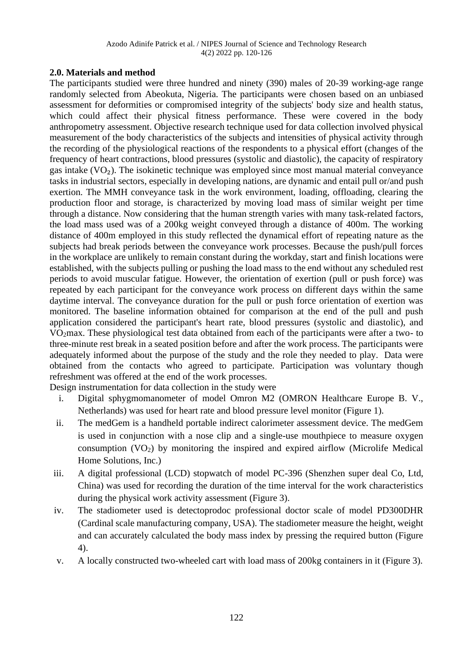# **2.0. Materials and method**

The participants studied were three hundred and ninety (390) males of 20-39 working-age range randomly selected from Abeokuta, Nigeria. The participants were chosen based on an unbiased assessment for deformities or compromised integrity of the subjects' body size and health status, which could affect their physical fitness performance. These were covered in the body anthropometry assessment. Objective research technique used for data collection involved physical measurement of the body characteristics of the subjects and intensities of physical activity through the recording of the physiological reactions of the respondents to a physical effort (changes of the frequency of heart contractions, blood pressures (systolic and diastolic), the capacity of respiratory gas intake  $(VO<sub>2</sub>)$ . The isokinetic technique was employed since most manual material conveyance tasks in industrial sectors, especially in developing nations, are dynamic and entail pull or/and push exertion. The MMH conveyance task in the work environment, loading, offloading, clearing the production floor and storage, is characterized by moving load mass of similar weight per time through a distance. Now considering that the human strength varies with many task-related factors, the load mass used was of a 200kg weight conveyed through a distance of 400m. The working distance of 400m employed in this study reflected the dynamical effort of repeating nature as the subjects had break periods between the conveyance work processes. Because the push/pull forces in the workplace are unlikely to remain constant during the workday, start and finish locations were established, with the subjects pulling or pushing the load mass to the end without any scheduled rest periods to avoid muscular fatigue. However, the orientation of exertion (pull or push force) was repeated by each participant for the conveyance work process on different days within the same daytime interval. The conveyance duration for the pull or push force orientation of exertion was monitored. The baseline information obtained for comparison at the end of the pull and push application considered the participant's heart rate, blood pressures (systolic and diastolic), and VO2max. These physiological test data obtained from each of the participants were after a two- to three-minute rest break in a seated position before and after the work process. The participants were adequately informed about the purpose of the study and the role they needed to play. Data were obtained from the contacts who agreed to participate. Participation was voluntary though refreshment was offered at the end of the work processes.

Design instrumentation for data collection in the study were

- i. Digital sphygmomanometer of model Omron M2 (OMRON Healthcare Europe B. V., Netherlands) was used for heart rate and blood pressure level monitor (Figure 1).
- ii. The medGem is a handheld portable indirect calorimeter assessment device. The medGem is used in conjunction with a nose clip and a single-use mouthpiece to measure oxygen consumption  $(VO_2)$  by monitoring the inspired and expired airflow (Microlife Medical Home Solutions, Inc.)
- iii. A digital professional (LCD) stopwatch of model PC-396 (Shenzhen super deal Co, Ltd, China) was used for recording the duration of the time interval for the work characteristics during the physical work activity assessment (Figure 3).
- iv. The stadiometer used is detectoprodoc professional doctor scale of model PD300DHR (Cardinal scale manufacturing company, USA). The stadiometer measure the height, weight and can accurately calculated the body mass index by pressing the required button (Figure 4).
- v. A locally constructed two-wheeled cart with load mass of 200kg containers in it (Figure 3).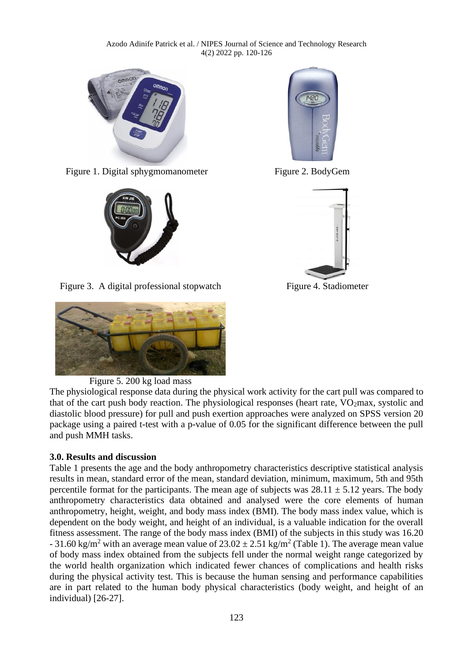Azodo Adinife Patrick et al. / NIPES Journal of Science and Technology Research 4(2) 2022 pp. 120-126



Figure 1. Digital sphygmomanometer Figure 2. BodyGem



Figure 3. A digital professional stopwatch Figure 4. Stadiometer



# Figure 5. 200 kg load mass

The physiological response data during the physical work activity for the cart pull was compared to that of the cart push body reaction. The physiological responses (heart rate,  $VO<sub>2</sub>$ max, systolic and diastolic blood pressure) for pull and push exertion approaches were analyzed on SPSS version 20 package using a paired t-test with a p-value of 0.05 for the significant difference between the pull and push MMH tasks.

### **3.0. Results and discussion**

Table 1 presents the age and the body anthropometry characteristics descriptive statistical analysis results in mean, standard error of the mean, standard deviation, minimum, maximum, 5th and 95th percentile format for the participants. The mean age of subjects was  $28.11 \pm 5.12$  years. The body anthropometry characteristics data obtained and analysed were the core elements of human anthropometry, height, weight, and body mass index (BMI). The body mass index value, which is dependent on the body weight, and height of an individual, is a valuable indication for the overall fitness assessment. The range of the body mass index (BMI) of the subjects in this study was 16.20 - 31.60 kg/m<sup>2</sup> with an average mean value of  $23.02 \pm 2.51$  kg/m<sup>2</sup> (Table 1). The average mean value of body mass index obtained from the subjects fell under the normal weight range categorized by the world health organization which indicated fewer chances of complications and health risks during the physical activity test. This is because the human sensing and performance capabilities are in part related to the human body physical characteristics (body weight, and height of an individual) [26-27].



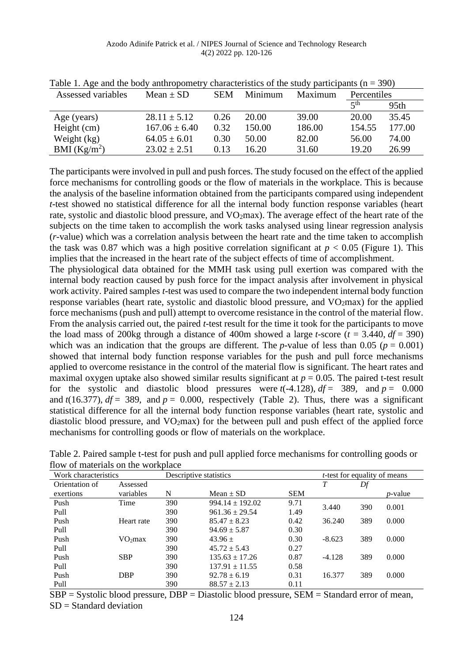| Assessed variables | Mean $\pm$ SD     | <b>SEM</b> | Minimum | Maximum | Percentiles |        |
|--------------------|-------------------|------------|---------|---------|-------------|--------|
|                    |                   |            |         |         | $\leq$ th   | 95th   |
| Age (years)        | $28.11 \pm 5.12$  | 0.26       | 20.00   | 39.00   | 20.00       | 35.45  |
| Height $(cm)$      | $167.06 \pm 6.40$ | 0.32       | 150.00  | 186.00  | 154.55      | 177.00 |
| Weight (kg)        | $64.05 \pm 6.01$  | 0.30       | 50.00   | 82.00   | 56.00       | 74.00  |
| BMI $(Kg/m^2)$     | $23.02 \pm 2.51$  | 0.13       | 6.20    | 31.60   | 19.20       | 26.99  |

Table 1. Age and the body anthropometry characteristics of the study participants ( $n = 390$ )

The participants were involved in pull and push forces. The study focused on the effect of the applied force mechanisms for controlling goods or the flow of materials in the workplace. This is because the analysis of the baseline information obtained from the participants compared using independent *t*-test showed no statistical difference for all the internal body function response variables (heart rate, systolic and diastolic blood pressure, and VO<sub>2</sub>max). The average effect of the heart rate of the subjects on the time taken to accomplish the work tasks analysed using linear regression analysis (*r*-value) which was a correlation analysis between the heart rate and the time taken to accomplish the task was 0.87 which was a high positive correlation significant at  $p < 0.05$  (Figure 1). This implies that the increased in the heart rate of the subject effects of time of accomplishment.

The physiological data obtained for the MMH task using pull exertion was compared with the internal body reaction caused by push force for the impact analysis after involvement in physical work activity. Paired samples *t*-test was used to compare the two independent internal body function response variables (heart rate, systolic and diastolic blood pressure, and  $VO<sub>2</sub>$ max) for the applied force mechanisms (push and pull) attempt to overcome resistance in the control of the material flow. From the analysis carried out, the paired *t*-test result for the time it took for the participants to move the load mass of 200kg through a distance of 400m showed a large *t*-score  $(t = 3.440, df = 390)$ which was an indication that the groups are different. The *p*-value of less than 0.05 ( $p = 0.001$ ) showed that internal body function response variables for the push and pull force mechanisms applied to overcome resistance in the control of the material flow is significant. The heart rates and maximal oxygen uptake also showed similar results significant at  $p = 0.05$ . The paired t-test result for the systolic and diastolic blood pressures were  $t(-4.128)$ ,  $df = 389$ , and  $p = 0.000$ and  $t(16.377)$ ,  $df = 389$ , and  $p = 0.000$ , respectively (Table 2). Thus, there was a significant statistical difference for all the internal body function response variables (heart rate, systolic and diastolic blood pressure, and VO<sub>2</sub>max) for the between pull and push effect of the applied force mechanisms for controlling goods or flow of materials on the workplace.

| Work characteristics |                     | Descriptive statistics |                     |            | <i>t</i> -test for equality of means |     |                 |
|----------------------|---------------------|------------------------|---------------------|------------|--------------------------------------|-----|-----------------|
| Orientation of       | Assessed            |                        |                     |            | T                                    | Df  |                 |
| exertions            | variables           | N                      | Mean $\pm$ SD       | <b>SEM</b> |                                      |     | <i>p</i> -value |
| Push                 | Time                | 390                    | $994.14 \pm 192.02$ | 9.71       | 3.440                                | 390 | 0.001           |
| Pull                 |                     | 390                    | $961.36 \pm 29.54$  | 1.49       |                                      |     |                 |
| Push                 | Heart rate          | 390                    | $85.47 \pm 8.23$    | 0.42       | 36.240                               | 389 | 0.000           |
| Pull                 |                     | 390                    | $94.69 \pm 5.87$    | 0.30       |                                      |     |                 |
| Push                 | VO <sub>2</sub> max | 390                    | $43.96 +$           | 0.30       | $-8.623$                             | 389 | 0.000           |
| Pull                 |                     | 390                    | $45.72 \pm 5.43$    | 0.27       |                                      |     |                 |
| Push                 | <b>SBP</b>          | 390                    | $135.63 + 17.26$    | 0.87       | $-4.128$                             | 389 | 0.000           |
| Pull                 |                     | 390                    | $137.91 \pm 11.55$  | 0.58       |                                      |     |                 |
| Push                 | <b>DBP</b>          | 390                    | $92.78 \pm 6.19$    | 0.31       | 16.377                               | 389 | 0.000           |
| Pull                 |                     | 390                    | $88.57 \pm 2.13$    | 0.11       |                                      |     |                 |

Table 2. Paired sample t-test for push and pull applied force mechanisms for controlling goods or flow of materials on the workplace

SBP = Systolic blood pressure, DBP = Diastolic blood pressure, SEM = Standard error of mean, SD = Standard deviation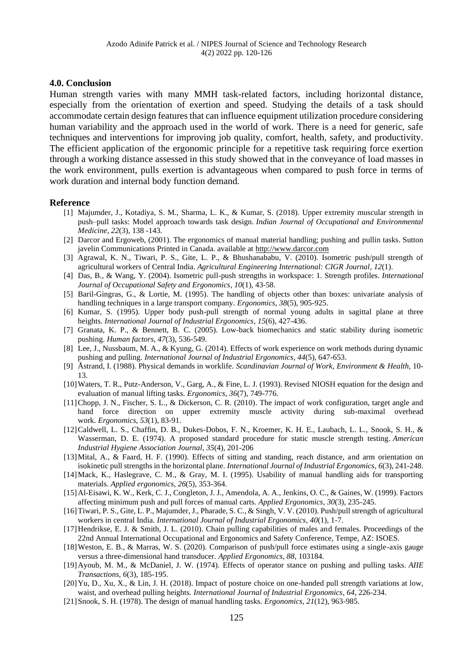#### **4.0. Conclusion**

Human strength varies with many MMH task-related factors, including horizontal distance, especially from the orientation of exertion and speed. Studying the details of a task should accommodate certain design features that can influence equipment utilization procedure considering human variability and the approach used in the world of work. There is a need for generic, safe techniques and interventions for improving job quality, comfort, health, safety, and productivity. The efficient application of the ergonomic principle for a repetitive task requiring force exertion through a working distance assessed in this study showed that in the conveyance of load masses in the work environment, pulls exertion is advantageous when compared to push force in terms of work duration and internal body function demand.

#### **Reference**

- [1] Majumder, J., Kotadiya, S. M., Sharma, L. K., & Kumar, S. (2018). Upper extremity muscular strength in push–pull tasks: Model approach towards task design. *Indian Journal of Occupational and Environmental Medicine*, *22*(3), 138 -143.
- [2] Darcor and Ergoweb, (2001). The ergonomics of manual material handling; pushing and pullin tasks. Sutton javelin Communications Printed in Canada. available at [http://www.darcor.com](http://www.darcor.com/)
- [3] Agrawal, K. N., Tiwari, P. S., Gite, L. P., & Bhushanababu, V. (2010). Isometric push/pull strength of agricultural workers of Central India. *Agricultural Engineering International: CIGR Journal*, *12*(1).
- [4] Das, B., & Wang, Y. (2004). Isometric pull-push strengths in workspace: 1. Strength profiles. *International Journal of Occupational Safety and Ergonomics*, *10*(1), 43-58.
- [5] Baril-Gingras, G., & Lortie, M. (1995). The handling of objects other than boxes: univariate analysis of handling techniques in a large transport company. *Ergonomics*, *38*(5), 905-925.
- [6] Kumar, S. (1995). Upper body push-pull strength of normal young adults in sagittal plane at three heights. *International Journal of Industrial Ergonomics*, *15*(6), 427-436.
- [7] Granata, K. P., & Bennett, B. C. (2005). Low-back biomechanics and static stability during isometric pushing. *Human factors*, *47*(3), 536-549.
- [8] Lee, J., Nussbaum, M. A., & Kyung, G. (2014). Effects of work experience on work methods during dynamic pushing and pulling. *International Journal of Industrial Ergonomics*, *44*(5), 647-653.
- [9] Åstrand, I. (1988). Physical demands in worklife. *Scandinavian Journal of Work, Environment & Health*, 10- 13.
- [10]Waters, T. R., Putz-Anderson, V., Garg, A., & Fine, L. J. (1993). Revised NIOSH equation for the design and evaluation of manual lifting tasks. *Ergonomics*, *36*(7), 749-776.
- [11]Chopp, J. N., Fischer, S. L., & Dickerson, C. R. (2010). The impact of work configuration, target angle and hand force direction on upper extremity muscle activity during sub-maximal overhead work. *Ergonomics*, *53*(1), 83-91.
- [12]Caldwell, L. S., Chaffin, D. B., Dukes-Dobos, F. N., Kroemer, K. H. E., Laubach, L. L., Snook, S. H., & Wasserman, D. E. (1974). A proposed standard procedure for static muscle strength testing. *American Industrial Hygiene Association Journal*, *35*(4), 201-206
- [13]Mital, A., & Faard, H. F. (1990). Effects of sitting and standing, reach distance, and arm orientation on isokinetic pull strengths in the horizontal plane. *International Journal of Industrial Ergonomics*, *6*(3), 241-248.
- [14]Mack, K., Haslegrave, C. M., & Gray, M. I. (1995). Usability of manual handling aids for transporting materials. *Applied ergonomics*, *26*(5), 353-364.
- [15]Al-Eisawi, K. W., Kerk, C. J., Congleton, J. J., Amendola, A. A., Jenkins, O. C., & Gaines, W. (1999). Factors affecting minimum push and pull forces of manual carts. *Applied Ergonomics*, *30*(3), 235-245.
- [16]Tiwari, P. S., Gite, L. P., Majumder, J., Pharade, S. C., & Singh, V. V. (2010). Push/pull strength of agricultural workers in central India. *International Journal of Industrial Ergonomics*, *40*(1), 1-7.
- [17]Hendrikse, E. J. & Smith, J. L. (2010). Chain pulling capabilities of males and females. Proceedings of the 22nd Annual International Occupational and Ergonomics and Safety Conference, Tempe, AZ: ISOES.
- [18]Weston, E. B., & Marras, W. S. (2020). Comparison of push/pull force estimates using a single-axis gauge versus a three-dimensional hand transducer. *Applied Ergonomics*, *88*, 103184.
- [19]Ayoub, M. M., & McDaniel, J. W. (1974). Effects of operator stance on pushing and pulling tasks. *AIIE Transactions*, *6*(3), 185-195.
- [20]Yu, D., Xu, X., & Lin, J. H. (2018). Impact of posture choice on one-handed pull strength variations at low, waist, and overhead pulling heights. *International Journal of Industrial Ergonomics*, *64*, 226-234.
- [21]Snook, S. H. (1978). The design of manual handling tasks. *Ergonomics*, *21*(12), 963-985.